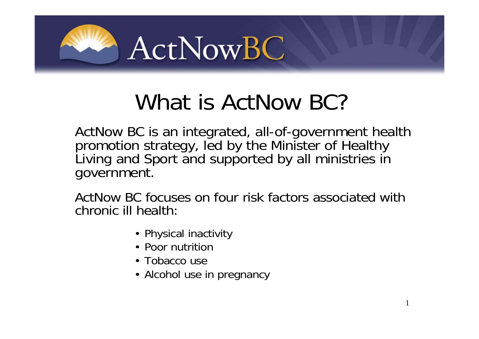

# What is ActNow BC?

ActNow BC is an integrated, all-of-government health promotion strategy, led by the Minister of Healthy Living and Sport and supported by all ministries in government.

ActNow BC focuses on four risk factors associated with chronic ill health:

- Physical inactivity
- Poor nutrition
- Tobacco use
- Alcohol use in pregnancy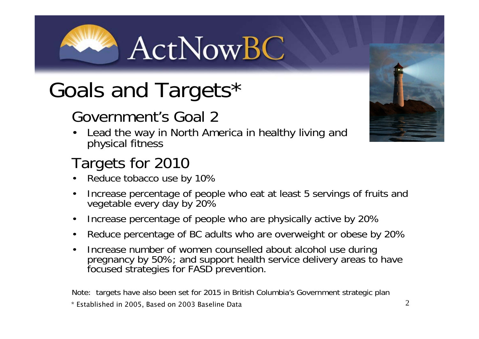ActNowBC

# Goals and Targets\*

## Government's Goal 2

Lead the way in North America in healthy living and physical fitness

## Targets for 2010

- Reduce tobacco use by 10%
- Increase percentage of people who eat at least 5 servings of fruits and vegetable every day by 20%
- Increase percentage of people who are physically active by 20%
- Reduce percentage of BC adults who are overweight or obese by 20%
- Increase number of women counselled about alcohol use during pregnancy by 50%; and support health service delivery areas to have focused strategies for FASD prevention.

Note: targets have also been set for 2015 in British Columbia's Government strategic plan \* Established in 2005, Based on 2003 Baseline Data



2

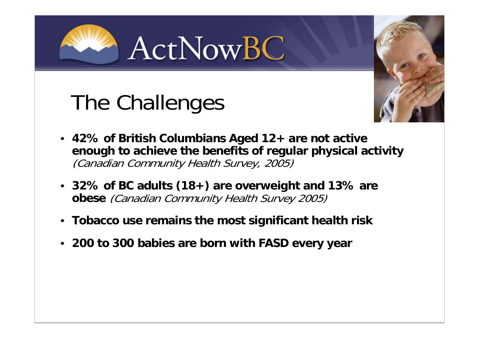ActNowBC

# The Challenges



- **42% of British Columbians Aged 12+ are not active enough to achieve the benefits of regular physical activity**  (Canadian Community Health Survey, 2005)
- **32% of BC adults (18+) are overweight and 13% are obese** (Canadian Community Health Survey 2005)
- **Tobacco use remains the most significant health risk**
- **200 to 300 babies are born with FASD every year**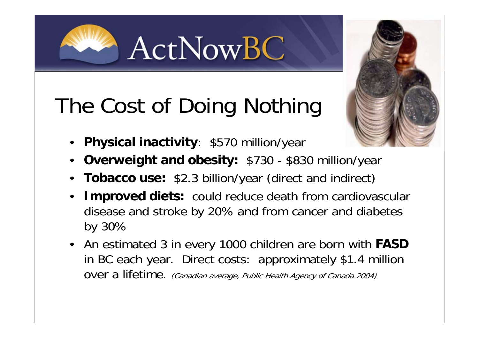The Cost of Doing Nothing

ActNowBC

- **Physical inactivity**: \$570 million/year
- **Overweight and obesity:** \$730 \$830 million/year
- **Tobacco use:** \$2.3 billion/year (direct and indirect)
- **Improved diets:** could reduce death from cardiovascular disease and stroke by 20% and from cancer and diabetes by 30%
- An estimated 3 in every 1000 children are born with **FASD**  in BC each year. Direct costs: approximately \$1.4 million over a lifetime. (Canadian average, Public Health Agency of Canada 2004)

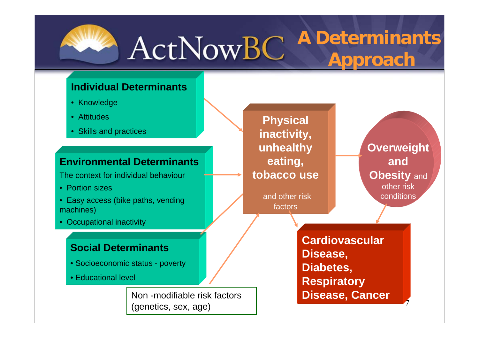

#### **A Determinants**  ActNowBC **Approach**

#### **Individual Determinants**

- Knowledge
- Attitudes
- Skills and practices

#### **Environmental Determinants**

The context for individual behaviour

- Portion sizes
- Easy access (bike paths, vending machines)
- Occupational inactivity

#### **Social Determinants**

- Socioeconomic status poverty
- Educational level

Non -modifiable risk factors (genetics, sex, age)

**Physical inactivity, unhealthy eating, tobacco use**

> and other risk factors

**Overweight and Obesity** and other risk conditions

7

**Cardiovascular Disease, Diabetes, Respiratory Disease, Cancer**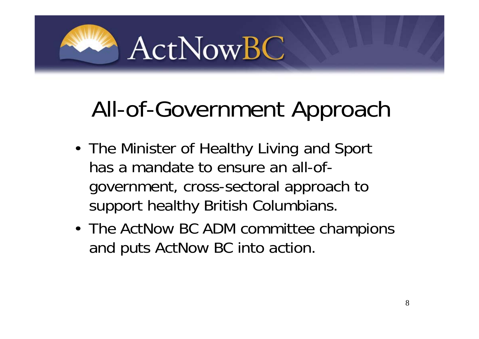

# All-of-Government Approach

- The Minister of Healthy Living and Sport has a mandate to ensure an all-ofgovernment, cross-sectoral approach to support healthy British Columbians.
- The ActNow BC ADM committee champions and puts ActNow BC into action.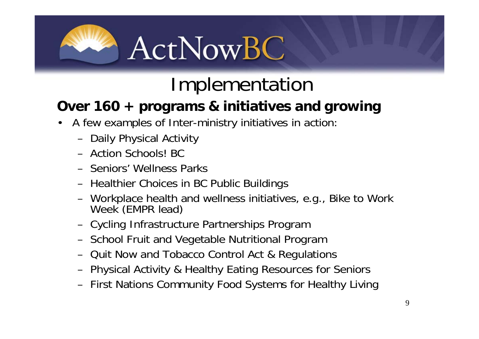

## Implementation

### **Over 160 + programs & initiatives and growing**

- A few examples of Inter-ministry initiatives in action:
	- Daily Physical Activity
	- Action Schools! BC
	- Seniors' Wellness Parks
	- Healthier Choices in BC Public Buildings
	- Workplace health and wellness initiatives, e.g., Bike to Work Week (EMPR lead)
	- Cycling Infrastructure Partnerships Program
	- School Fruit and Vegetable Nutritional Program
	- Quit Now and Tobacco Control Act & Regulations
	- Physical Activity & Healthy Eating Resources for Seniors
	- First Nations Community Food Systems for Healthy Living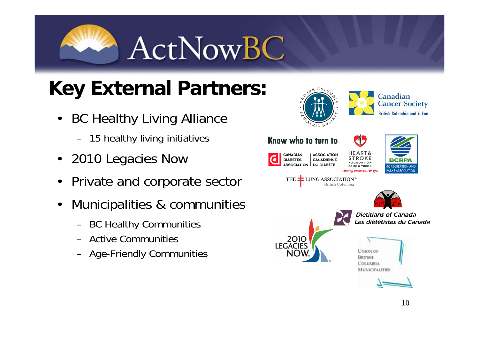**ActNowBC** 

## **Key External Partners:**

- **BC Healthy Living Alliance** 
	- 15 healthy living initiatives
- 2010 Legacies Now
- Private and corporate sector
- Municipalities & communities
	- BC Healthy Communities
	- Active Communities
	- Age-Friendly Communities

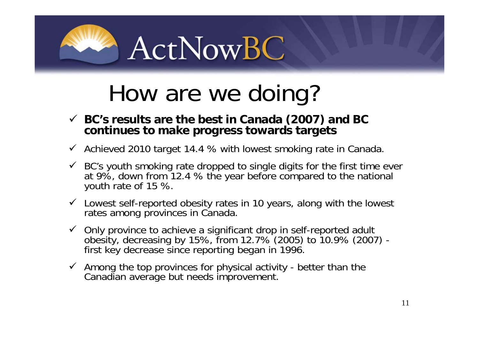

# How are we doing?

- **BC's results are the best in Canada (2007) and BC continues to make progress towards targets**
- $\checkmark$  Achieved 2010 target 14.4 % with lowest smoking rate in Canada.
- $\checkmark$  BC's youth smoking rate dropped to single digits for the first time ever at 9%, down from 12.4 % the year before compared to the national youth rate of 15 %.
- $\checkmark$  Lowest self-reported obesity rates in 10 years, along with the lowest rates among provinces in Canada.
- $\checkmark$  Only province to achieve a significant drop in self-reported adult obesity, decreasing by 15%, from 12.7% (2005) to 10.9% (2007) first key decrease since reporting began in 1996.
- $\checkmark$  Among the top provinces for physical activity better than the Canadian average but needs improvement.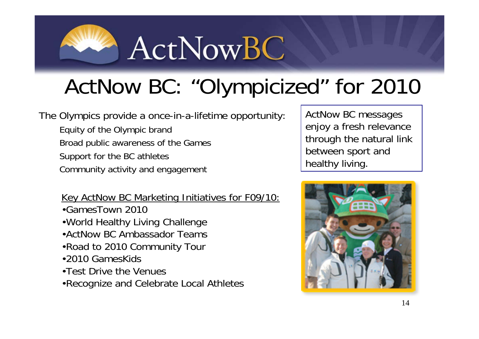

# ActNow BC: "Olympicized" for 2010

The Olympics provide a once-in-a-lifetime opportunity:

Equity of the Olympic brand Broad public awareness of the Games Support for the BC athletes

Community activity and engagement

Key ActNow BC Marketing Initiatives for F09/10:

- •GamesTown 2010
- •World Healthy Living Challenge
- •ActNow BC Ambassador Teams
- •Road to 2010 Community Tour
- •2010 GamesKids
- •Test Drive the Venues

•Recognize and Celebrate Local Athletes

ActNow BC messages enjoy a fresh relevance through the natural link between sport and healthy living.